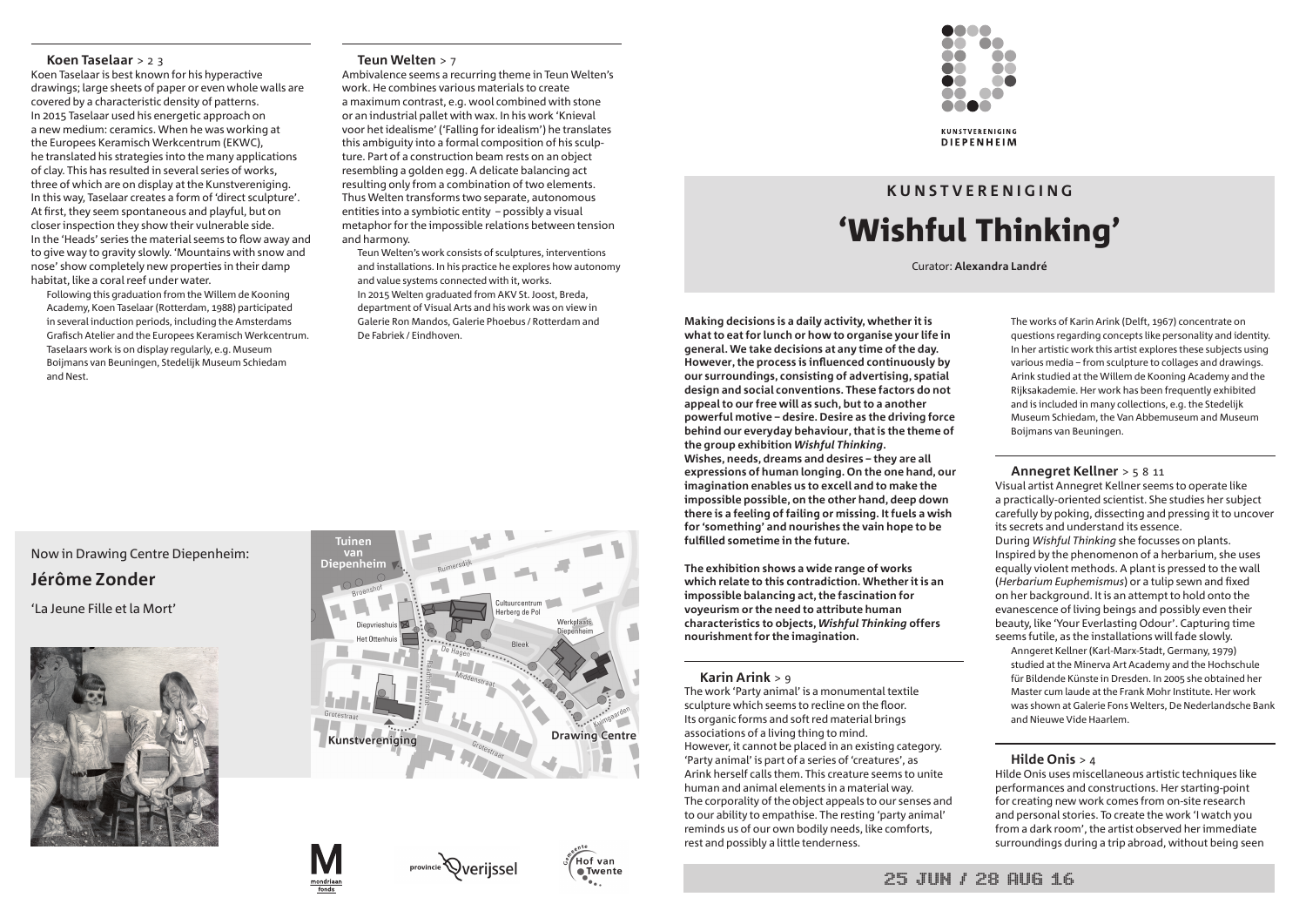

**Making decisions is a daily activity, whether it is what to eat for lunch or how to organise your life in general. We take decisions at any time of the day. However, the process is influenced continuously by our surroundings, consisting of advertising, spatial design and social conventions. These factors do not appeal to our free will as such, but to a another powerful motive – desire. Desire as the driving force behind our everyday behaviour, that is the theme of the group exhibition** *Wishful Thinking***. Wishes, needs, dreams and desires – they are all expressions of human longing. On the one hand, our imagination enables us to excell and to make the impossible possible, on the other hand, deep down there is a feeling of failing or missing. It fuels a wish for 'something' and nourishes the vain hope to be fulfilled sometime in the future.** 

**The exhibition shows a wide range of works which relate to this contradiction. Whether it is an impossible balancing act, the fascination for voyeurism or the need to attribute human characteristics to objects,** *Wishful Thinking* **offers nourishment for the imagination.**

# **Karin Arink** > 9

The work 'Party animal' is a monumental textile sculpture which seems to recline on the floor. Its organic forms and soft red material brings associations of a living thing to mind. However, it cannot be placed in an existing category. 'Party animal' is part of a series of 'creatures', as Arink herself calls them. This creature seems to unite human and animal elements in a material way. The corporality of the object appeals to our senses and to our ability to empathise. The resting 'party animal' reminds us of our own bodily needs, like comforts, rest and possibly a little tenderness.

The works of Karin Arink (Delft, 1967) concentrate on questions regarding concepts like personality and identity. In her artistic work this artist explores these subjects using various media – from sculpture to collages and drawings. Arink studied at the Willem de Kooning Academy and the Rijksakademie. Her work has been frequently exhibited and is included in many collections, e.g. the Stedelijk Museum Schiedam, the Van Abbemuseum and Museum Boijmans van Beuningen.

# **Annegret Kellner** > 5 8 11

Visual artist Annegret Kellner seems to operate like a practically-oriented scientist. She studies her subject carefully by poking, dissecting and pressing it to uncover its secrets and understand its essence.

During *Wishful Thinking* she focusses on plants. Inspired by the phenomenon of a herbarium, she uses equally violent methods. A plant is pressed to the wall (*Herbarium Euphemismus*) or a tulip sewn and fixed on her background. It is an attempt to hold onto the evanescence of living beings and possibly even their beauty, like 'Your Everlasting Odour'. Capturing time seems futile, as the installations will fade slowly.

Anngeret Kellner (Karl-Marx-Stadt, Germany, 1979) studied at the Minerva Art Academy and the Hochschule für Bildende Künste in Dresden. In 2005 she obtained her Master cum laude at the Frank Mohr Institute. Her work was shown at Galerie Fons Welters, De Nederlandsche Bank and Nieuwe Vide Haarlem.

# **Hilde Onis** > 4

Hilde Onis uses miscellaneous artistic techniques like performances and constructions. Her starting-point for creating new work comes from on-site research and personal stories. To create the work 'I watch you from a dark room', the artist observed her immediate surroundings during a trip abroad, without being seen

# **K U N S T V E R E N I G I N G**  'Wishful Thinking'

Curator: **Alexandra Landré**

# **Koen Taselaar** > 2 3

Koen Taselaar is best known for his hyperactive drawings; large sheets of paper or even whole walls are covered by a characteristic density of patterns. In 2015 Taselaar used his energetic approach on a new medium: ceramics. When he was working at the Europees Keramisch Werkcentrum (EKWC), he translated his strategies into the many applications of clay. This has resulted in several series of works, three of which are on display at the Kunstvereniging. In this way, Taselaar creates a form of 'direct sculpture'. At first, they seem spontaneous and playful, but on closer inspection they show their vulnerable side. In the 'Heads' series the material seems to flow away and to give way to gravity slowly. 'Mountains with snow and nose' show completely new properties in their damp habitat, like a coral reef under water.

Following this graduation from the Willem de Kooning Academy, Koen Taselaar (Rotterdam, 1988) participated in several induction periods, including the Amsterdams Grafisch Atelier and the Europees Keramisch Werkcentrum. Taselaars work is on display regularly, e.g. Museum Boijmans van Beuningen, Stedelijk Museum Schiedam and Nest.

# **Teun Welten** > 7

Ambivalence seems a recurring theme in Teun Welten's work. He combines various materials to create a maximum contrast, e.g. wool combined with stone or an industrial pallet with wax. In his work 'Knieval voor het idealisme' ('Falling for idealism') he translates this ambiguity into a formal composition of his sculpture. Part of a construction beam rests on an object resembling a golden egg. A delicate balancing act resulting only from a combination of two elements. Thus Welten transforms two separate, autonomous entities into a symbiotic entity – possibly a visual metaphor for the impossible relations between tension and harmony.

Teun Welten's work consists of sculptures, interventions and installations. In his practice he explores how autonomy and value systems connected with it, works. In 2015 Welten graduated from AKV St. Joost, Breda, department of Visual Arts and his work was on view in Galerie Ron Mandos, Galerie Phoebus / Rotterdam and De Fabriek / Eindhoven.



# Now in Drawing Centre Diepenheim: **Jérôme Zonder**

'La Jeune Fille et la Mort'